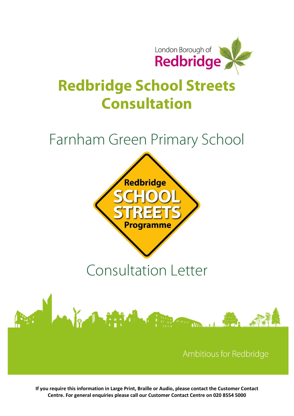

## Redbridge School Streets Consultation

### Farnham Green Primary School



# Consultation Letter



If you require this information in Large Print, Braille or Audio, please contact the Customer Contact Centre. For general enquiries please call our Customer Contact Centre on 020 8554 5000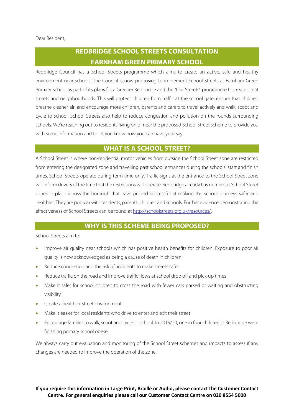### REDBRIDGE SCHOOL STREETS CONSULTATION FARNHAM GREEN PRIMARY SCHOOL

Redbridge Council has a School Streets programme which aims to create an active, safe and healthy environment near schools. The Council is now proposing to implement School Streets at Farnham Green Primary School as part of its plans for a Greener Redbridge and the "Our Streets" programme to create great streets and neighbourhoods. This will protect children from traffic at the school gate, ensure that children breathe cleaner air, and encourage more children, parents and carers to travel actively and walk, scoot and cycle to school. School Streets also help to reduce congestion and pollution on the rounds surrounding schools. We're reaching out to residents living on or near the proposed School Street scheme to provide you with some information and to let you know how you can have your say.

#### WHAT IS A SCHOOL STREET?

A School Street is where non-residential motor vehicles from outside the School Street zone are restricted from entering the designated zone and travelling past school entrances during the schools' start and finish times. School Streets operate during term time only. Traffic signs at the entrance to the School Street zone will inform drivers of the time that the restrictions will operate. Redbridge already has numerous School Street zones in place across the borough that have proved successful at making the school journeys safer and healthier. They are popular with residents, parents, children and schools. Further evidence demonstrating the effectiveness of School Streets can be found at http://schoolstreets.org.uk/resources/.

#### WHY IS THIS SCHEME BEING PROPOSED?

School Streets aim to:

- Improve air quality near schools which has positive health benefits for children. Exposure to poor air quality is now acknowledged as being a cause of death in children.
- Reduce congestion and the risk of accidents to make streets safer
- Reduce traffic on the road and improve traffic flows at school drop off and pick-up times
- Make it safer for school children to cross the road with fewer cars parked or waiting and obstructing visibility
- **•** Create a healthier street environment
- Make it easier for local residents who drive to enter and exit their street
- Encourage families to walk, scoot and cycle to school. In 2019/20, one in four children in Redbridge were finishing primary school obese.

We always carry out evaluation and monitoring of the School Street schemes and impacts to assess if any changes are needed to improve the operation of the zone.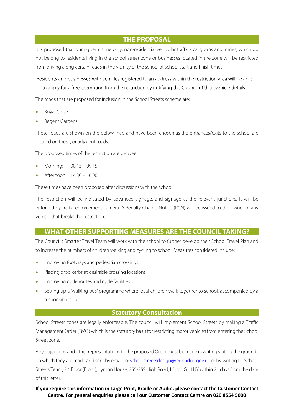THE PROPOSAL

It is proposed that during term time only, non-residential vehicular traffic - cars, vans and lorries, which do not belong to residents living in the school street zone or businesses located in the zone will be restricted from driving along certain roads in the vicinity of the school at school start and finish times.

#### Residents and businesses with vehicles registered to an address within the restriction area will be able to apply for a free exemption from the restriction by notifying the Council of their vehicle details.

The roads that are proposed for inclusion in the School Streets scheme are:

- Royal Close
- Regent Gardens

These roads are shown on the below map and have been chosen as the entrances/exits to the school are located on these, or adjacent roads.

The proposed times of the restriction are between:

- Morning: 08.15 09:15
- Afternoon: 14.30 16:00

These times have been proposed after discussions with the school.

The restriction will be indicated by advanced signage, and signage at the relevant junctions. It will be enforced by traffic enforcement camera. A Penalty Charge Notice (PCN) will be issued to the owner of any vehicle that breaks the restriction.

#### WHAT OTHER SUPPORTING MEASURES ARE THE COUNCIL TAKING?

The Council's Smarter Travel Team will work with the school to further develop their School Travel Plan and to increase the numbers of children walking and cycling to school. Measures considered include:

- Improving footways and pedestrian crossings
- Placing drop kerbs at desirable crossing locations
- Improving cycle routes and cycle facilities
- Setting up a 'walking bus' programme where local children walk together to school, accompanied by a responsible adult.

#### **Statutory Consultation**

School Streets zones are legally enforceable. The council will implement School Streets by making a Traffic Management Order (TMO) which is the statutory basis for restricting motor vehicles from entering the School Street zone.

Any objections and other representations to the proposed Order must be made in writing stating the grounds on which they are made and sent by email to: schoolstreetsdesign@redbridge.gov.uk or by writing to: School Streets Team, 2<sup>nd</sup> Floor (Front), Lynton House, 255-259 High Road, Ilford, IG1 1NY within 21 days from the date of this letter.

#### If you require this information in Large Print, Braille or Audio, please contact the Customer Contact Centre. For general enquiries please call our Customer Contact Centre on 020 8554 5000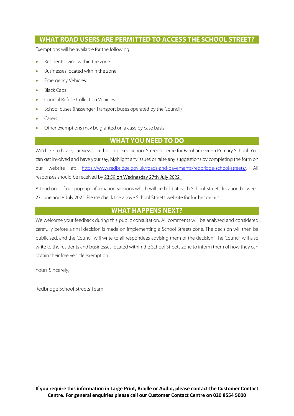#### WHAT ROAD USERS ARE PERMITTED TO ACCESS THE SCHOOL STREET?

Exemptions will be available for the following:

- Residents living within the zone
- Businesses located within the zone
- **Emergency Vehicles**
- Black Cabs
- Council Refuse Collection Vehicles
- School buses (Passenger Transport buses operated by the Council)
- Carers
- Other exemptions may be granted on a case by case basis

#### WHAT YOU NEED TO DO

We'd like to hear your views on the proposed School Street scheme for Farnham Green Primary School. You can get involved and have your say, highlight any issues or raise any suggestions by completing the form on our website at: https://www.redbridge.gov.uk/roads-and-pavements/redbridge-school-streets/. All responses should be received by 23:59 on Wednesday 27th July 2022.

Attend one of our pop-up information sessions which will be held at each School Streets location between 27 June and 8 July 2022. Please check the above School Streets website for further details.

#### WHAT HAPPENS NEXT?

We welcome your feedback during this public consultation. All comments will be analysed and considered carefully before a final decision is made on implementing a School Streets zone. The decision will then be publicised, and the Council will write to all respondees advising them of the decision. The Council will also write to the residents and businesses located within the School Streets zone to inform them of how they can obtain their free vehicle exemption.

Yours Sincerely,

Redbridge School Streets Team